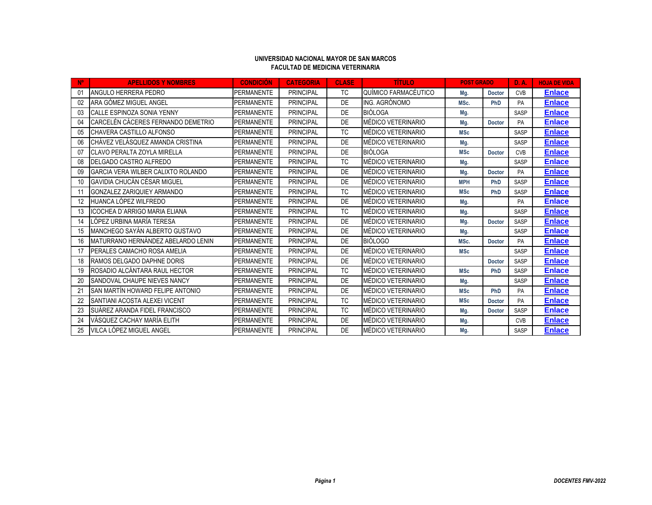## **UNIVERSIDAD NACIONAL MAYOR DE SAN MARCOS FACULTAD DE MEDICINA VETERINARIA**

| N <sup>o</sup> | <b>APELLIDOS Y NOMBRES</b>                | <b>CONDICIÓN</b>  | <b>CATEGORIA</b> | <b>CLASE</b> | <b>TITULO</b>        | <b>POST GRADO</b> |               | <b>D.A.</b> | <b>HOJA DE VIDA</b> |
|----------------|-------------------------------------------|-------------------|------------------|--------------|----------------------|-------------------|---------------|-------------|---------------------|
| 01             | ANGULO HERRERA PEDRO                      | PERMANENTE        | <b>PRINCIPAL</b> | TC           | QUÍMICO FARMACÉUTICO | Mg.               | <b>Doctor</b> | <b>CVB</b>  | <b>Enlace</b>       |
| 02             | ARA GÓMEZ MIGUEL ANGEL                    | <b>PERMANENTE</b> | <b>PRINCIPAL</b> | DE           | ING. AGRÓNOMO        | MSc.              | <b>PhD</b>    | <b>PA</b>   | <b>Enlace</b>       |
| 03             | CALLE ESPINOZA SONIA YENNY                | PERMANENTE        | <b>PRINCIPAL</b> | DE           | <b>BIÓLOGA</b>       | Mg.               |               | SASP        | <b>Enlace</b>       |
| 04             | CARCELÉN CÁCERES FERNANDO DEMETRIO        | <b>PERMANENTE</b> | <b>PRINCIPAL</b> | DE           | MÉDICO VETERINARIO   | Mg.               | <b>Doctor</b> | <b>PA</b>   | <b>Enlace</b>       |
| 05             | CHAVERA CASTILLO ALFONSO                  | <b>PERMANENTE</b> | <b>PRINCIPAL</b> | <b>TC</b>    | MÉDICO VETERINARIO   | <b>MSc</b>        |               | SASP        | <b>Enlace</b>       |
| 06             | CHÁVEZ VELÁSQUEZ AMANDA CRISTINA          | <b>PERMANENTE</b> | <b>PRINCIPAL</b> | DE           | MÉDICO VETERINARIO   | Mg.               |               | SASP        | <b>Enlace</b>       |
| 07             | CLAVO PERALTA ZOYLA MIRELLA               | <b>PERMANENTE</b> | <b>PRINCIPAL</b> | DE           | <b>BIÓLOGA</b>       | <b>MSc</b>        | <b>Doctor</b> | <b>CVB</b>  | <b>Enlace</b>       |
| 08             | DELGADO CASTRO ALFREDO                    | <b>PERMANENTE</b> | <b>PRINCIPAL</b> | TC           | MÉDICO VETERINARIO   | Mg.               |               | SASP        | <b>Enlace</b>       |
| 09             | <b>GARCIA VERA WILBER CALIXTO ROLANDO</b> | <b>PERMANENTE</b> | <b>PRINCIPAL</b> | DE           | MÉDICO VETERINARIO   | Mg.               | <b>Doctor</b> | PA          | <b>Enlace</b>       |
| 10             | GAVIDIA CHUCÁN CÉSAR MIGUEL               | <b>PERMANENTE</b> | <b>PRINCIPAL</b> | DE           | MÉDICO VETERINARIO   | <b>MPH</b>        | PhD           | SASP        | <b>Enlace</b>       |
| 11             | GONZALEZ ZARIQUIEY ARMANDO                | <b>PERMANENTE</b> | <b>PRINCIPAL</b> | <b>TC</b>    | MÉDICO VETERINARIO   | <b>MSc</b>        | PhD           | SASP        | <b>Enlace</b>       |
| 12             | HUANCA LÓPEZ WILFREDO                     | PERMANENTE        | <b>PRINCIPAL</b> | DE           | MÉDICO VETERINARIO   | Mg.               |               | PA          | <b>Enlace</b>       |
| 13             | <b>ICOCHEA D'ARRIGO MARIA ELIANA</b>      | <b>PERMANENTE</b> | <b>PRINCIPAL</b> | <b>TC</b>    | MÉDICO VETERINARIO   | Mg.               |               | SASP        | <b>Enlace</b>       |
| 14             | LÓPEZ URBINA MARÍA TERESA                 | <b>PERMANENTE</b> | <b>PRINCIPAL</b> | DE           | MÉDICO VETERINARIO   | Mg.               | <b>Doctor</b> | SASP        | <b>Enlace</b>       |
| 15             | MANCHEGO SAYÁN ALBERTO GUSTAVO            | <b>PERMANENTE</b> | <b>PRINCIPAL</b> | DE           | MÉDICO VETERINARIO   | Mg.               |               | SASP        | <b>Enlace</b>       |
| 16             | MATURRANO HERNÁNDEZ ABELARDO LENIN        | <b>PERMANENTE</b> | <b>PRINCIPAL</b> | DE           | <b>BIÓLOGO</b>       | MSc.              | <b>Doctor</b> | PA          | <b>Enlace</b>       |
| 17             | PERALES CAMACHO ROSA AMELIA               | <b>PERMANENTE</b> | <b>PRINCIPAL</b> | DE           | MÉDICO VETERINARIO   | <b>MSc</b>        |               | SASP        | <u>Enlace</u>       |
| 18             | <b>RAMOS DELGADO DAPHNE DORIS</b>         | <b>PERMANENTE</b> | <b>PRINCIPAL</b> | DE           | MÉDICO VETERINARIO   |                   | <b>Doctor</b> | SASP        | <b>Enlace</b>       |
| 19             | ROSADIO ALCÁNTARA RAUL HECTOR             | <b>PERMANENTE</b> | <b>PRINCIPAL</b> | <b>TC</b>    | MÉDICO VETERINARIO   | <b>MSc</b>        | PhD           | SASP        | <b>Enlace</b>       |
| 20             | SANDOVAL CHAUPE NIEVES NANCY              | <b>PERMANENTE</b> | <b>PRINCIPAL</b> | DE           | MÉDICO VETERINARIO   | Mg.               |               | SASP        | <b>Enlace</b>       |
| 21             | SAN MARTÍN HOWARD FELIPE ANTONIO          | <b>PERMANENTE</b> | <b>PRINCIPAL</b> | DE           | MÉDICO VETERINARIO   | <b>MSc</b>        | PhD           | PA          | <b>Enlace</b>       |
| 22             | SANTIANI ACOSTA ALEXEI VICENT             | <b>PERMANENTE</b> | <b>PRINCIPAL</b> | <b>TC</b>    | MÉDICO VETERINARIO   | <b>MSc</b>        | <b>Doctor</b> | PA          | <b>Enlace</b>       |
| 23             | SUÁREZ ARANDA FIDEL FRANCISCO             | <b>PERMANENTE</b> | <b>PRINCIPAL</b> | <b>TC</b>    | MÉDICO VETERINARIO   | Mg.               | <b>Doctor</b> | SASP        | <b>Enlace</b>       |
| 24             | VÁSQUEZ CACHAY MARÍA ELITH                | <b>PERMANENTE</b> | <b>PRINCIPAL</b> | DE           | MÉDICO VETERINARIO   | Mg.               |               | <b>CVB</b>  | <b>Enlace</b>       |
| 25             | VILCA LÓPEZ MIGUEL ANGEL                  | <b>PERMANENTE</b> | <b>PRINCIPAL</b> | DE           | MÉDICO VETERINARIO   | Mg.               |               | SASP        | <b>Enlace</b>       |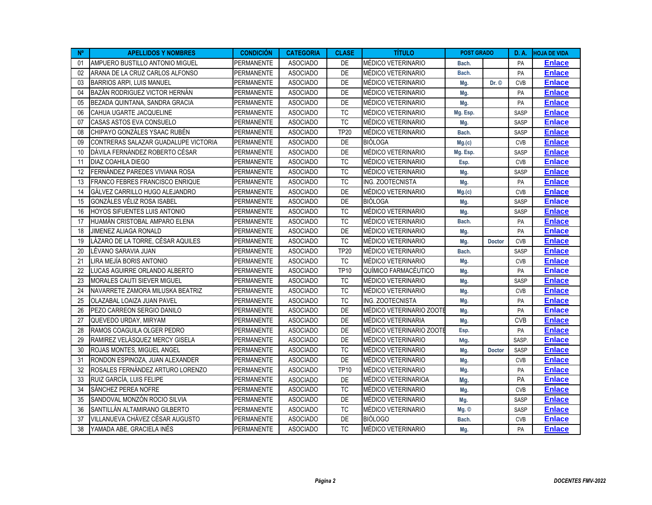| $N^{\circ}$ | <b>APELLIDOS Y NOMBRES</b>             | <b>CONDICIÓN</b>  | <b>CATEGORIA</b> | <b>CLASE</b> | <b>TÍTULO</b>             | <b>POST GRADO</b> |               | <b>D.A.</b> | <b>HOJA DE VIDA</b> |
|-------------|----------------------------------------|-------------------|------------------|--------------|---------------------------|-------------------|---------------|-------------|---------------------|
| 01          | AMPUERO BUSTILLO ANTONIO MIGUEL        | PERMANENTE        | <b>ASOCIADO</b>  | DE           | MÉDICO VETERINARIO        | Bach.             |               | <b>PA</b>   | <b>Enlace</b>       |
| 02          | ARANA DE LA CRUZ CARLOS ALFONSO        | PERMANENTE        | <b>ASOCIADO</b>  | DE           | MÉDICO VETERINARIO        | Bach.             |               | PA          | <b>Enlace</b>       |
| 03          | <b>BARRIOS ARPI, LUIS MANUEL</b>       | <b>PERMANENTE</b> | <b>ASOCIADO</b>  | DE           | MÉDICO VETERINARIO        | Mg.               | Dr. ©         | <b>CVB</b>  | <b>Enlace</b>       |
| 04          | BAZÁN RODRIGUEZ VICTOR HERNÁN          | <b>PERMANENTE</b> | <b>ASOCIADO</b>  | DE           | MÉDICO VETERINARIO        | Mg.               |               | PA          | <b>Enlace</b>       |
| 05          | BEZADA QUINTANA, SANDRA GRACIA         | PERMANENTE        | <b>ASOCIADO</b>  | DE           | MÉDICO VETERINARIO        | Mg.               |               | PA          | <b>Enlace</b>       |
| 06          | CAHUA UGARTE JACQUELINE                | <b>PERMANENTE</b> | <b>ASOCIADO</b>  | <b>TC</b>    | MÉDICO VETERINARIO        | Mg. Esp.          |               | SASP        | <b>Enlace</b>       |
| 07          | CASAS ASTOS EVA CONSUELO               | <b>PERMANENTE</b> | <b>ASOCIADO</b>  | ${\tt TC}$   | MÉDICO VETERINARIO        | Mg.               |               | <b>SASP</b> | <b>Enlace</b>       |
| 08          | CHIPAYO GONZÁLES YSAAC RUBÉN           | <b>PERMANENTE</b> | <b>ASOCIADO</b>  | <b>TP20</b>  | MÉDICO VETERINARIO        | Bach.             |               | <b>SASP</b> | <b>Enlace</b>       |
| 09          | CONTRERAS SALAZAR GUADALUPE VICTORIA   | <b>PERMANENTE</b> | <b>ASOCIADO</b>  | <b>DE</b>    | <b>BIÓLOGA</b>            | Mg(c)             |               | <b>CVB</b>  | <b>Enlace</b>       |
| 10          | DÁVILA FERNÁNDEZ ROBERTO CÉSAR         | PERMANENTE        | <b>ASOCIADO</b>  | DE           | MÉDICO VETERINARIO        | Mg. Esp.          |               | SASP        | <b>Enlace</b>       |
| 11          | DIAZ COAHILA DIEGO                     | PERMANENTE        | <b>ASOCIADO</b>  | <b>TC</b>    | MÉDICO VETERINARIO        | Esp.              |               | <b>CVB</b>  | <b>Enlace</b>       |
| 12          | FERNÁNDEZ PAREDES VIVIANA ROSA         | PERMANENTE        | <b>ASOCIADO</b>  | TC           | MÉDICO VETERINARIO        | Mg.               |               | SASP        | <b>Enlace</b>       |
| 13          | <b>FRANCO FEBRES FRANCISCO ENRIQUE</b> | PERMANENTE        | <b>ASOCIADO</b>  | <b>TC</b>    | <b>ING. ZOOTECNISTA</b>   | Mg.               |               | PA          | <b>Enlace</b>       |
| 14          | GÁLVEZ CARRILLO HUGO ALEJANDRO         | <b>PERMANENTE</b> | <b>ASOCIADO</b>  | <b>DE</b>    | MÉDICO VETERINARIO        | Mg.(c)            |               | <b>CVB</b>  | <b>Enlace</b>       |
| 15          | GONZÁLES VÉLIZ ROSA ISABEL             | PERMANENTE        | <b>ASOCIADO</b>  | DE           | <b>BIÓLOGA</b>            | Mg.               |               | SASP        | <b>Enlace</b>       |
| 16          | <b>HOYOS SIFUENTES LUIS ANTONIO</b>    | PERMANENTE        | <b>ASOCIADO</b>  | <b>TC</b>    | MÉDICO VETERINARIO        | Mg.               |               | SASP        | <b>Enlace</b>       |
| 17          | HUAMÁN CRISTOBAL AMPARO ELENA          | <b>PERMANENTE</b> | <b>ASOCIADO</b>  | TC           | MÉDICO VETERINARIO        | Bach.             |               | PA          | <b>Enlace</b>       |
| 18          | JIMENEZ ALIAGA RONALD                  | <b>PERMANENTE</b> | <b>ASOCIADO</b>  | DE           | MÉDICO VETERINARIO        | Mg.               |               | PA          | <b>Enlace</b>       |
| 19          | LÁZARO DE LA TORRE, CÉSAR AQUILES      | <b>PERMANENTE</b> | <b>ASOCIADO</b>  | <b>TC</b>    | MÉDICO VETERINARIO        | Mg.               | <b>Doctor</b> | <b>CVB</b>  | <b>Enlace</b>       |
| 20          | LÉVANO SARAVIA JUAN                    | <b>PERMANENTE</b> | <b>ASOCIADO</b>  | <b>TP20</b>  | MÉDICO VETERINARIO        | Bach.             |               | SASP        | <b>Enlace</b>       |
| 21          | LIRA MEJÍA BORIS ANTONIO               | <b>PERMANENTE</b> | <b>ASOCIADO</b>  | <b>TC</b>    | MÉDICO VETERINARIO        | Mg.               |               | <b>CVB</b>  | <b>Enlace</b>       |
| 22          | LUCAS AGUIRRE ORLANDO ALBERTO          | PERMANENTE        | <b>ASOCIADO</b>  | <b>TP10</b>  | QUÍMICO FARMACÉUTICO      | Mg.               |               | PA          | <b>Enlace</b>       |
| 23          | MORALES CAUTI SIEVER MIGUEL            | PERMANENTE        | <b>ASOCIADO</b>  | <b>TC</b>    | MÉDICO VETERINARIO        | Mg.               |               | SASP        | <b>Enlace</b>       |
| 24          | NAVARRETE ZAMORA MILUSKA BEATRIZ       | PERMANENTE        | <b>ASOCIADO</b>  | <b>TC</b>    | MÉDICO VETERINARIO        | Mg.               |               | <b>CVB</b>  | <b>Enlace</b>       |
| 25          | OLAZABAL LOAIZA JUAN PAVEL             | PERMANENTE        | <b>ASOCIADO</b>  | TC           | ING. ZOOTECNISTA          | Mg.               |               | PA          | <b>Enlace</b>       |
| 26          | PEZO CARREON SERGIO DANILO             | PERMANENTE        | <b>ASOCIADO</b>  | DE           | MÉDICO VETERINARIO ZOOTE  | Mg.               |               | PA          | <b>Enlace</b>       |
| 27          | QUEVEDO URDAY, MIRYAM                  | PERMANENTE        | <b>ASOCIADO</b>  | DE           | MÉDICO VETERINARIA        | Mg.               |               | <b>CVB</b>  | <b>Enlace</b>       |
| 28          | RAMOS COAGUILA OLGER PEDRO             | <b>PERMANENTE</b> | <b>ASOCIADO</b>  | DE           | MÉDICO VETERINARIO ZOOTE  | Esp.              |               | PA          | <b>Enlace</b>       |
| 29          | RAMIREZ VELÁSQUEZ MERCY GISELA         | <b>PERMANENTE</b> | <b>ASOCIADO</b>  | DE           | MÉDICO VETERINARIO        | Mg.               |               | SASP.       | <b>Enlace</b>       |
| 30          | <b>ROJAS MONTES, MIGUEL ANGEL</b>      | <b>PERMANENTE</b> | <b>ASOCIADO</b>  | TC           | MÉDICO VETERINARIO        | Mg.               | Doctor        | <b>SASP</b> | <b>Enlace</b>       |
| 31          | RONDON ESPINOZA, JUAN ALEXANDER        | <b>PERMANENTE</b> | <b>ASOCIADO</b>  | DE           | MÉDICO VETERINARIO        | Mg.               |               | <b>CVB</b>  | <b>Enlace</b>       |
| 32          | ROSALES FERNÁNDEZ ARTURO LORENZO       | PERMANENTE        | <b>ASOCIADO</b>  | <b>TP10</b>  | MÉDICO VETERINARIO        | Mg.               |               | PA          | <b>Enlace</b>       |
| 33          | RUIZ GARCÍA, LUIS FELIPE               | PERMANENTE        | <b>ASOCIADO</b>  | DE           | MÉDICO VETERINARIOA       | Mg.               |               | <b>PA</b>   | <b>Enlace</b>       |
| 34          | SÁNCHEZ PEREA NOFRE                    | <b>PERMANENTE</b> | <b>ASOCIADO</b>  | ТC           | MÉDICO VETERINARIO        | Mg.               |               | <b>CVB</b>  | <b>Enlace</b>       |
| 35          | SANDOVAL MONZÓN ROCIO SILVIA           | PERMANENTE        | <b>ASOCIADO</b>  | DE           | MÉDICO VETERINARIO        | Mg.               |               | SASP        | <b>Enlace</b>       |
| 36          | SANTILLÁN ALTAMIRANO GILBERTO          | <b>PERMANENTE</b> | <b>ASOCIADO</b>  | <b>TC</b>    | <b>MEDICO VETERINARIO</b> | $Mg.$ $\odot$     |               | SASP        | <b>Enlace</b>       |
| 37          | VILLANUEVA CHÁVEZ CÉSAR AUGUSTO        | <b>PERMANENTE</b> | <b>ASOCIADO</b>  | DE           | <b>BIÓLOGO</b>            | Bach.             |               | <b>CVB</b>  | <b>Enlace</b>       |
| 38          | YAMADA ABE. GRACIELA INÉS              | <b>PERMANENTE</b> | <b>ASOCIADO</b>  | <b>TC</b>    | MÉDICO VETERINARIO        | Mg.               |               | PA          | <b>Enlace</b>       |